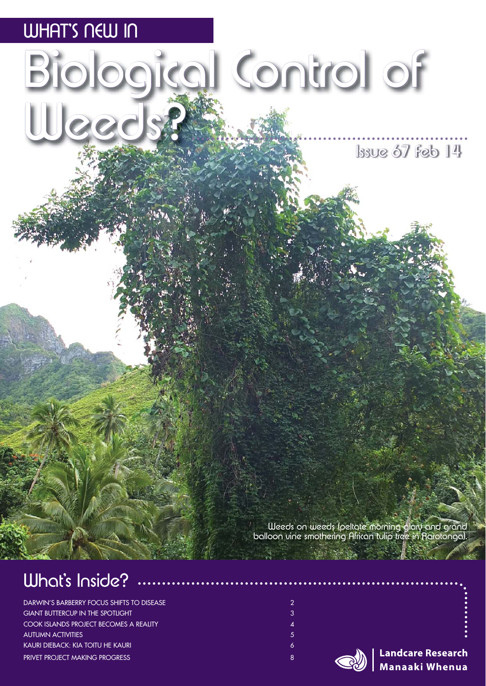

 $Issue 67 feb 14$ 

Weeds on weeds (peltate morning glory and grand balloon vine smothering African tulip tree in Rarotonga).

### What's Inside?

DARWIN'S BARBERRY FOCUS SHIFTS TO DISEASE 2 GIANT BUTTERCUP IN THE SPOTLIGHT 3 AND 200 SET OF A 4 AND 3 3 AND 3 3 COOK ISLANDS PROJECT BECOMES A REALITY 4 AUTUMN ACTIVITIES 5 KAURI DIEBACK: KIA TOITU HE KAURI 6 KOMBONISTA NA MATEMATIKA (K. 1999) **PRIVET PROJECT MAKING PROGRESS 8** 2002 12:20 12:20 12:20 12:20 12:20 12:20 12:20 12:30 12:30 12:30 12:30 12:30 13:30 13:30 13:30 13:30 13:30 13:30 13:30 13:30 13:30 13:30 13:30 13:30 13:30 13:30 13:30 13:30 13:30 13:30 13



**Landcare Research Manaaki Whenua**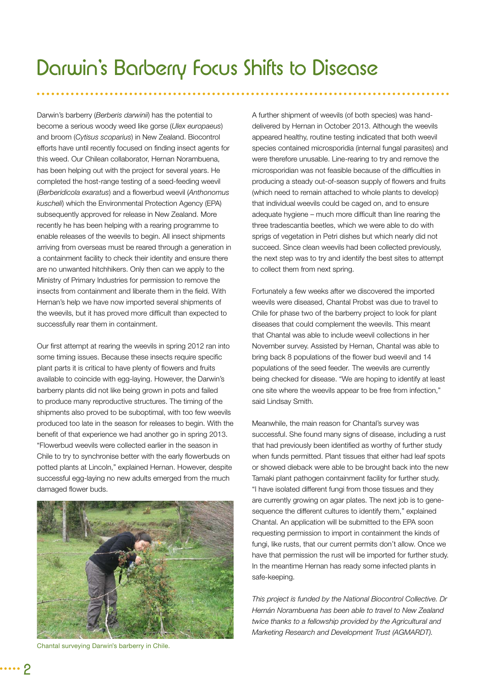Darwin's barberry (*Berberis darwinii*) has the potential to become a serious woody weed like gorse (*Ulex europaeus*) and broom (*Cytisus scoparius*) in New Zealand. Biocontrol efforts have until recently focused on finding insect agents for this weed. Our Chilean collaborator, Hernan Norambuena, has been helping out with the project for several years. He completed the host-range testing of a seed-feeding weevil (*Berberidicola exaratus*) and a fl owerbud weevil (*Anthonomus kuscheli*) which the Environmental Protection Agency (EPA) subsequently approved for release in New Zealand. More recently he has been helping with a rearing programme to enable releases of the weevils to begin. All insect shipments arriving from overseas must be reared through a generation in a containment facility to check their identity and ensure there are no unwanted hitchhikers. Only then can we apply to the Ministry of Primary Industries for permission to remove the insects from containment and liberate them in the field. With Hernan's help we have now imported several shipments of the weevils, but it has proved more difficult than expected to successfully rear them in containment.

Our first attempt at rearing the weevils in spring 2012 ran into some timing issues. Because these insects require specific plant parts it is critical to have plenty of flowers and fruits available to coincide with egg-laying. However, the Darwin's barberry plants did not like being grown in pots and failed to produce many reproductive structures. The timing of the shipments also proved to be suboptimal, with too few weevils produced too late in the season for releases to begin. With the benefit of that experience we had another go in spring 2013. "Flowerbud weevils were collected earlier in the season in Chile to try to synchronise better with the early flowerbuds on potted plants at Lincoln," explained Hernan. However, despite successful egg-laying no new adults emerged from the much damaged flower buds.



Chantal surveying Darwin's barberry in Chile.

A further shipment of weevils (of both species) was handdelivered by Hernan in October 2013. Although the weevils appeared healthy, routine testing indicated that both weevil species contained microsporidia (internal fungal parasites) and were therefore unusable. Line-rearing to try and remove the microsporidian was not feasible because of the difficulties in producing a steady out-of-season supply of flowers and fruits (which need to remain attached to whole plants to develop) that individual weevils could be caged on, and to ensure adequate hygiene – much more difficult than line rearing the three tradescantia beetles, which we were able to do with sprigs of vegetation in Petri dishes but which nearly did not succeed. Since clean weevils had been collected previously, the next step was to try and identify the best sites to attempt to collect them from next spring.

Fortunately a few weeks after we discovered the imported weevils were diseased, Chantal Probst was due to travel to Chile for phase two of the barberry project to look for plant diseases that could complement the weevils. This meant that Chantal was able to include weevil collections in her November survey. Assisted by Hernan, Chantal was able to bring back 8 populations of the flower bud weevil and 14 populations of the seed feeder*.* The weevils are currently being checked for disease. "We are hoping to identify at least one site where the weevils appear to be free from infection," said Lindsay Smith.

Meanwhile, the main reason for Chantal's survey was successful. She found many signs of disease, including a rust that had previously been identified as worthy of further study when funds permitted. Plant tissues that either had leaf spots or showed dieback were able to be brought back into the new Tamaki plant pathogen containment facility for further study. "I have isolated different fungi from those tissues and they are currently growing on agar plates. The next job is to genesequence the different cultures to identify them," explained Chantal. An application will be submitted to the EPA soon requesting permission to import in containment the kinds of fungi, like rusts, that our current permits don't allow. Once we have that permission the rust will be imported for further study. In the meantime Hernan has ready some infected plants in safe-keeping.

*This project is funded by the National Biocontrol Collective. Dr Hernán Norambuena has been able to travel to New Zealand twice thanks to a fellowship provided by the Agricultural and Marketing Research and Development Trust (AGMARDT).*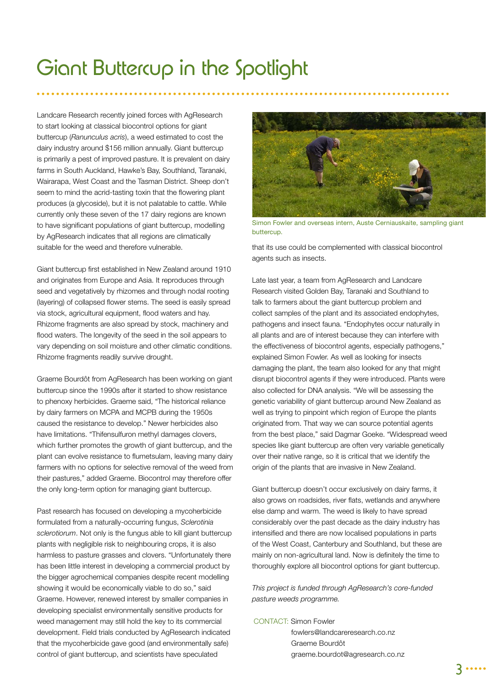### Giant Buttercup in the Spotlight

Landcare Research recently joined forces with AgResearch to start looking at classical biocontrol options for giant buttercup (*Ranunculus acris*), a weed estimated to cost the dairy industry around \$156 million annually. Giant buttercup is primarily a pest of improved pasture. It is prevalent on dairy farms in South Auckland, Hawke's Bay, Southland, Taranaki, Wairarapa, West Coast and the Tasman District. Sheep don't seem to mind the acrid-tasting toxin that the flowering plant produces (a glycoside), but it is not palatable to cattle. While currently only these seven of the 17 dairy regions are known to have significant populations of giant buttercup, modelling by AgResearch indicates that all regions are climatically suitable for the weed and therefore vulnerable.

Giant buttercup first established in New Zealand around 1910 and originates from Europe and Asia. It reproduces through seed and vegetatively by rhizomes and through nodal rooting (layering) of collapsed flower stems. The seed is easily spread via stock, agricultural equipment, flood waters and hay. Rhizome fragments are also spread by stock, machinery and flood waters. The longevity of the seed in the soil appears to vary depending on soil moisture and other climatic conditions. Rhizome fragments readily survive drought.

Graeme Bourdôt from AgResearch has been working on giant buttercup since the 1990s after it started to show resistance to phenoxy herbicides. Graeme said, "The historical reliance by dairy farmers on MCPA and MCPB during the 1950s caused the resistance to develop." Newer herbicides also have limitations. "Thifensulfuron methyl damages clovers, which further promotes the growth of giant buttercup, and the plant can evolve resistance to flumetsulam, leaving many dairy farmers with no options for selective removal of the weed from their pastures," added Graeme. Biocontrol may therefore offer the only long-term option for managing giant buttercup.

Past research has focused on developing a mycoherbicide formulated from a naturally-occurring fungus, *Sclerotinia sclerotiorum*. Not only is the fungus able to kill giant buttercup plants with negligible risk to neighbouring crops, it is also harmless to pasture grasses and clovers. "Unfortunately there has been little interest in developing a commercial product by the bigger agrochemical companies despite recent modelling showing it would be economically viable to do so," said Graeme. However, renewed interest by smaller companies in developing specialist environmentally sensitive products for weed management may still hold the key to its commercial development. Field trials conducted by AgResearch indicated that the mycoherbicide gave good (and environmentally safe) control of giant buttercup, and scientists have speculated



Simon Fowler and overseas intern, Auste Cerniauskaite, sampling giant buttercup.

that its use could be complemented with classical biocontrol agents such as insects.

Late last year, a team from AgResearch and Landcare Research visited Golden Bay, Taranaki and Southland to talk to farmers about the giant buttercup problem and collect samples of the plant and its associated endophytes, pathogens and insect fauna. "Endophytes occur naturally in all plants and are of interest because they can interfere with the effectiveness of biocontrol agents, especially pathogens," explained Simon Fowler. As well as looking for insects damaging the plant, the team also looked for any that might disrupt biocontrol agents if they were introduced. Plants were also collected for DNA analysis. "We will be assessing the genetic variability of giant buttercup around New Zealand as well as trying to pinpoint which region of Europe the plants originated from. That way we can source potential agents from the best place," said Dagmar Goeke. "Widespread weed species like giant buttercup are often very variable genetically over their native range, so it is critical that we identify the origin of the plants that are invasive in New Zealand.

Giant buttercup doesn't occur exclusively on dairy farms, it also grows on roadsides, river flats, wetlands and anywhere else damp and warm. The weed is likely to have spread considerably over the past decade as the dairy industry has intensified and there are now localised populations in parts of the West Coast, Canterbury and Southland, but these are mainly on non-agricultural land. Now is definitely the time to thoroughly explore all biocontrol options for giant buttercup.

*This project is funded through AgResearch's core-funded pasture weeds programme.*

#### CONTACT: Simon Fowler

fowlers@landcareresearch.co.nz Graeme Bourdôt graeme.bourdot@agresearch.co.nz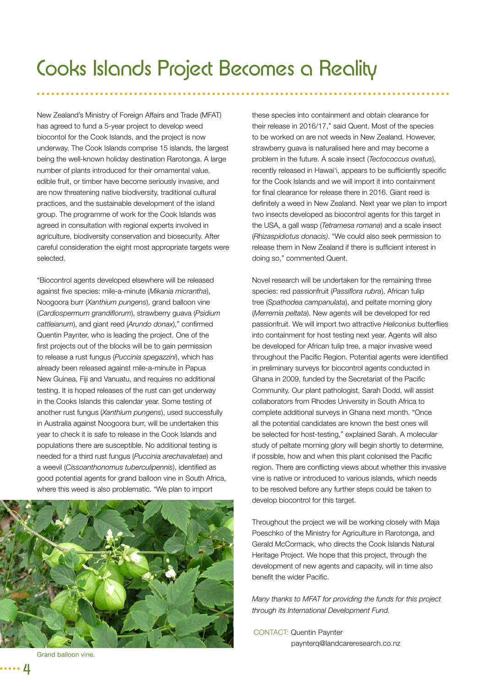New Zealand's Ministry of Foreign Affairs and Trade (MFAT) has agreed to fund a 5-year project to develop weed biocontol for the Cook Islands, and the project is now underway. The Cook Islands comprise 15 islands, the largest being the well-known holiday destination Rarotonga. A large number of plants introduced for their ornamental value, edible fruit, or timber have become seriously invasive, and are now threatening native biodiversity, traditional cultural practices, and the sustainable development of the island group. The programme of work for the Cook Islands was agreed in consultation with regional experts involved in agriculture, biodiversity conservation and biosecurity. After careful consideration the eight most appropriate targets were selected.

"Biocontrol agents developed elsewhere will be released against five species: mile-a-minute (Mikania micrantha), Noogoora burr (*Xanthium pungens*), grand balloon vine (*Cardiospermum grandifl orum*), strawberry guava (*Psidium cattleianum*), and giant reed (*Arundo donax*)," confirmed Quentin Paynter, who is leading the project. One of the first projects out of the blocks will be to gain permission to release a rust fungus (*Puccinia spegazzini*), which has already been released against mile-a-minute in Papua New Guinea, Fiji and Vanuatu, and requires no additional testing. It is hoped releases of the rust can get underway in the Cooks Islands this calendar year. Some testing of another rust fungus (*Xanthium pungens*), used successfully in Australia against Noogoora burr, will be undertaken this year to check it is safe to release in the Cook Islands and populations there are susceptible. No additional testing is needed for a third rust fungus (*Puccinia arechavaletae*) and a weevil (Cissoanthonomus tuberculipennis), identified as good potential agents for grand balloon vine in South Africa, where this weed is also problematic. "We plan to import



these species into containment and obtain clearance for their release in 2016/17," said Quent. Most of the species to be worked on are not weeds in New Zealand. However, strawberry guava is naturalised here and may become a problem in the future. A scale insect (*Tectococcus ovatus*), recently released in Hawai'i, appears to be sufficiently specific for the Cook Islands and we will import it into containment for final clearance for release there in 2016. Giant reed is definitely a weed in New Zealand. Next year we plan to import two insects developed as biocontrol agents for this target in the USA, a gall wasp (*Tetramesa romana*) and a scale insect (*Rhizaspidiotus donacis)*. "We could also seek permission to release them in New Zealand if there is sufficient interest in doing so," commented Quent.

Novel research will be undertaken for the remaining three species: red passionfruit (Passiflora rubra), African tulip tree (*Spathodea campanulata*), and peltate morning glory (*Merremia peltata*). New agents will be developed for red passionfruit. We will import two attractive Heliconius butterflies into containment for host testing next year. Agents will also be developed for African tulip tree, a major invasive weed throughout the Pacific Region. Potential agents were identified in preliminary surveys for biocontrol agents conducted in Ghana in 2009, funded by the Secretariat of the Pacific Community. Our plant pathologist, Sarah Dodd, will assist collaborators from Rhodes University in South Africa to complete additional surveys in Ghana next month. "Once all the potential candidates are known the best ones will be selected for host-testing," explained Sarah. A molecular study of peltate morning glory will begin shortly to determine, if possible, how and when this plant colonised the Pacific region. There are conflicting views about whether this invasive vine is native or introduced to various islands, which needs to be resolved before any further steps could be taken to develop biocontrol for this target.

Throughout the project we will be working closely with Maja Poeschko of the Ministry for Agriculture in Rarotonga, and Gerald McCormack, who directs the Cook Islands Natural Heritage Project. We hope that this project, through the development of new agents and capacity, will in time also benefit the wider Pacific.

*Many thanks to MFAT for providing the funds for this project through its International Development Fund.* 

CONTACT: Quentin Paynter paynterq@landcareresearch.co.nz

Grand balloon vine.

4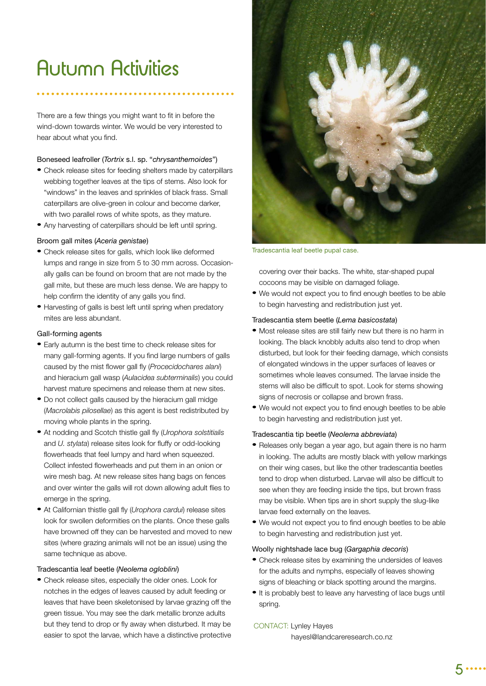## **Autumn Activities**

There are a few things you might want to fit in before the wind-down towards winter. We would be very interested to hear about what you find.

#### Boneseed leafroller (*Tortrix* s.l. sp. "*chrysanthemoides*")

- Check release sites for feeding shelters made by caterpillars webbing together leaves at the tips of stems. Also look for "windows" in the leaves and sprinkles of black frass. Small caterpillars are olive-green in colour and become darker, with two parallel rows of white spots, as they mature.
- Any harvesting of caterpillars should be left until spring.

#### Broom gall mites (*Aceria genistae*)

- Check release sites for galls, which look like deformed lumps and range in size from 5 to 30 mm across. Occasionally galls can be found on broom that are not made by the gall mite, but these are much less dense. We are happy to help confirm the identity of any galls you find.
- Harvesting of galls is best left until spring when predatory mites are less abundant.

#### Gall-forming agents

- Early autumn is the best time to check release sites for many gall-forming agents. If you find large numbers of galls caused by the mist flower gall fly (Procecidochares alani) and hieracium gall wasp (*Aulacidea subterminalis*) you could harvest mature specimens and release them at new sites.
- Do not collect galls caused by the hieracium gall midge (*Macrolabis pilosellae*) as this agent is best redistributed by moving whole plants in the spring.
- At nodding and Scotch thistle gall fly (*Urophora solstitialis* and *U. stylata*) release sites look for fluffy or odd-looking flowerheads that feel lumpy and hard when squeezed. Collect infested flowerheads and put them in an onion or wire mesh bag. At new release sites hang bags on fences and over winter the galls will rot down allowing adult flies to emerge in the spring.
- At Californian thistle gall fly (*Urophora cardui*) release sites look for swollen deformities on the plants. Once these galls have browned off they can be harvested and moved to new sites (where grazing animals will not be an issue) using the same technique as above.

#### Tradescantia leaf beetle (*Neolema ogloblini*)

• Check release sites, especially the older ones. Look for notches in the edges of leaves caused by adult feeding or leaves that have been skeletonised by larvae grazing off the green tissue. You may see the dark metallic bronze adults but they tend to drop or fly away when disturbed. It may be easier to spot the larvae, which have a distinctive protective



Tradescantia leaf beetle pupal case.

covering over their backs. The white, star-shaped pupal cocoons may be visible on damaged foliage.

• We would not expect you to find enough beetles to be able to begin harvesting and redistribution just yet.

#### Tradescantia stem beetle (*Lema basicostata*)

- Most release sites are still fairly new but there is no harm in looking. The black knobbly adults also tend to drop when disturbed, but look for their feeding damage, which consists of elongated windows in the upper surfaces of leaves or sometimes whole leaves consumed. The larvae inside the stems will also be difficult to spot. Look for stems showing signs of necrosis or collapse and brown frass.
- We would not expect you to find enough beetles to be able to begin harvesting and redistribution just yet.

#### Tradescantia tip beetle (*Neolema abbreviata*)

- Releases only began a year ago, but again there is no harm in looking. The adults are mostly black with yellow markings on their wing cases, but like the other tradescantia beetles tend to drop when disturbed. Larvae will also be difficult to see when they are feeding inside the tips, but brown frass may be visible. When tips are in short supply the slug-like larvae feed externally on the leaves.
- We would not expect you to find enough beetles to be able to begin harvesting and redistribution just yet.

#### Woolly nightshade lace bug (*Gargaphia decoris*)

- Check release sites by examining the undersides of leaves for the adults and nymphs, especially of leaves showing signs of bleaching or black spotting around the margins.
- It is probably best to leave any harvesting of lace bugs until spring.

#### CONTACT: Lynley Hayes

hayesl@landcareresearch.co.nz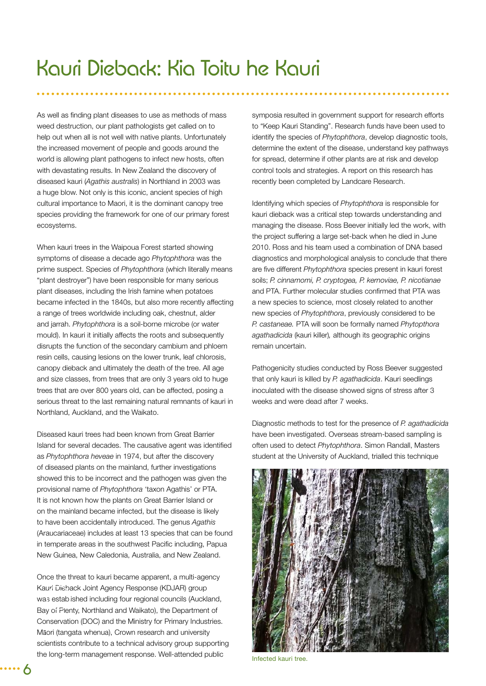As well as finding plant diseases to use as methods of mass weed destruction, our plant pathologists get called on to help out when all is not well with native plants. Unfortunately the increased movement of people and goods around the world is allowing plant pathogens to infect new hosts, often with devastating results. In New Zealand the discovery of diseased kauri (*Agathis australis*) in Northland in 2003 was a huge blow. Not only is this iconic, ancient species of high cultural importance to Maori, it is the dominant canopy tree species providing the framework for one of our primary forest ecosystems.

When kauri trees in the Waipoua Forest started showing symptoms of disease a decade ago *Phytophthora* was the prime suspect. Species of *Phytophthora* (which literally means "plant destroyer") have been responsible for many serious plant diseases, including the Irish famine when potatoes became infected in the 1840s, but also more recently affecting a range of trees worldwide including oak, chestnut, alder and jarrah. *Phytophthora* is a soil-borne microbe (or water mould). In kauri it initially affects the roots and subsequently disrupts the function of the secondary cambium and phloem resin cells, causing lesions on the lower trunk, leaf chlorosis, canopy dieback and ultimately the death of the tree. All age and size classes, from trees that are only 3 years old to huge trees that are over 800 years old, can be affected, posing a serious threat to the last remaining natural remnants of kauri in Northland, Auckland, and the Waikato.

Diseased kauri trees had been known from Great Barrier Island for several decades. The causative agent was identified as *Phytophthora heveae* in 1974, but after the discovery of diseased plants on the mainland, further investigations showed this to be incorrect and the pathogen was given the provisional name of *Phytophthora* 'taxon Agathis' or PTA. It is not known how the plants on Great Barrier Island or on the mainland became infected, but the disease is likely to have been accidentally introduced. The genus *Agathis* (Araucariaceae) includes at least 13 species that can be found in temperate areas in the southwest Pacific including, Papua New Guinea, New Caledonia, Australia, and New Zealand.

Once the threat to kauri became apparent, a multi-agency Kauri Dieback Joint Agency Response (KDJAR) group was established including four regional councils (Auckland, Bay of Plenty, Northland and Waikato), the Department of Conservation (DOC) and the Ministry for Primary Industries. Māori (tangata whenua), Crown research and university scientists contribute to a technical advisory group supporting the long-term management response. Well-attended public

symposia resulted in government support for research efforts to "Keep Kauri Standing". Research funds have been used to identify the species of *Phytophthora*, develop diagnostic tools, determine the extent of the disease, understand key pathways for spread, determine if other plants are at risk and develop control tools and strategies. A report on this research has recently been completed by Landcare Research.

Identifying which species of *Phytophthora* is responsible for kauri dieback was a critical step towards understanding and managing the disease. Ross Beever initially led the work, with the project suffering a large set-back when he died in June 2010. Ross and his team used a combination of DNA based diagnostics and morphological analysis to conclude that there are five different *Phytophthora* species present in kauri forest soils; *P. cinnamomi, P. cryptogea, P. kernoviae, P. nicotianae*  and PTA. Further molecular studies confirmed that PTA was a new species to science, most closely related to another new species of *Phytophthora*, previously considered to be *P. castaneae.* PTA will soon be formally named *Phytopthora agathadicida* (kauri killer)*,* although its geographic origins remain uncertain.

Pathogenicity studies conducted by Ross Beever suggested that only kauri is killed by *P. agathadicida*. Kauri seedlings inoculated with the disease showed signs of stress after 3 weeks and were dead after 7 weeks.

Diagnostic methods to test for the presence of *P. agathadicida* have been investigated. Overseas stream-based sampling is often used to detect *Phytophthora*. Simon Randall, Masters student at the University of Auckland, trialled this technique



Infected kauri tree.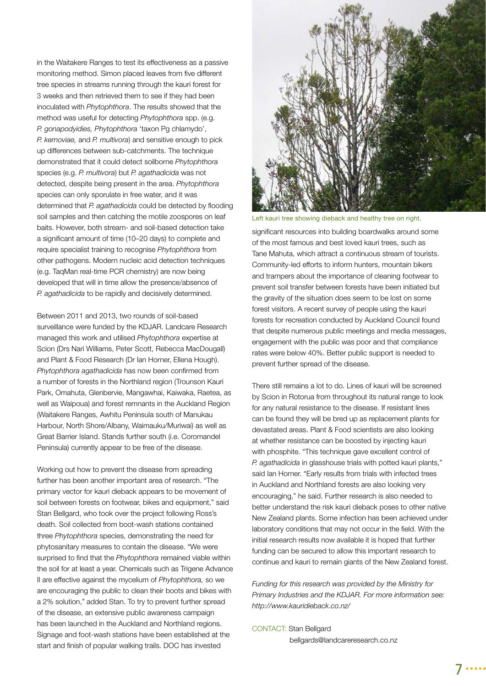in the Waitakere Ranges to test its effectiveness as a passive monitoring method. Simon placed leaves from five different tree species in streams running through the kauri forest for 3 weeks and then retrieved them to see if they had been inoculated with *Phytophthora*. The results showed that the method was useful for detecting *Phytophthora* spp. (e.g. *P. gonapodyidies, Phytophthora* 'taxon Pg chlamydo', *P. kernoviae,* and *P. multivora*) and sensitive enough to pick up differences between sub-catchments. The technique demonstrated that it could detect soilborne *Phytophthora*  species (e.g. *P. multivora*) but *P. agathadicida* was not detected, despite being present in the area. *Phytophthora* species can only sporulate in free water, and it was determined that *P. agathadicida* could be detected by flooding soil samples and then catching the motile zoospores on leaf baits. However, both stream- and soil-based detection take a significant amount of time (10–20 days) to complete and require specialist training to recognise *Phytophthora* from other pathogens. Modern nucleic acid detection techniques (e.g. TaqMan real-time PCR chemistry) are now being developed that will in time allow the presence/absence of *P. agathadicida* to be rapidly and decisively determined.

Between 2011 and 2013, two rounds of soil-based surveillance were funded by the KDJAR. Landcare Research managed this work and utilised *Phytophthora* expertise at Scion (Drs Nari Williams, Peter Scott, Rebecca MacDougall) and Plant & Food Research (Dr Ian Horner, Ellena Hough). *Phytophthora agathadicida* has now been confirmed from a number of forests in the Northland region (Trounson Kauri Park, Omahuta, Glenbervie, Mangawhai, Kaiwaka, Raetea, as well as Waipoua) and forest remnants in the Auckland Region (Waitakere Ranges, Awhitu Peninsula south of Manukau Harbour, North Shore/Albany, Waimauku/Muriwai) as well as Great Barrier Island. Stands further south (i.e. Coromandel Peninsula) currently appear to be free of the disease.

Working out how to prevent the disease from spreading further has been another important area of research. "The primary vector for kauri dieback appears to be movement of soil between forests on footwear, bikes and equipment," said Stan Bellgard, who took over the project following Ross's death. Soil collected from boot-wash stations contained three *Phytophthora* species, demonstrating the need for phytosanitary measures to contain the disease. "We were surprised to find that the *Phytophthora* remained viable within the soil for at least a year. Chemicals such as Trigene Advance II are effective against the mycelium of *Phytophthora,* so we are encouraging the public to clean their boots and bikes with a 2% solution," added Stan. To try to prevent further spread of the disease, an extensive public awareness campaign has been launched in the Auckland and Northland regions. Signage and foot-wash stations have been established at the start and finish of popular walking trails. DOC has invested



Left kauri tree showing dieback and healthy tree on right.

significant resources into building boardwalks around some of the most famous and best loved kauri trees, such as Tane Mahuta, which attract a continuous stream of tourists. Community-led efforts to inform hunters, mountain bikers and trampers about the importance of cleaning footwear to prevent soil transfer between forests have been initiated but the gravity of the situation does seem to be lost on some forest visitors. A recent survey of people using the kauri forests for recreation conducted by Auckland Council found that despite numerous public meetings and media messages, engagement with the public was poor and that compliance rates were below 40%. Better public support is needed to prevent further spread of the disease.

There still remains a lot to do. Lines of kauri will be screened by Scion in Rotorua from throughout its natural range to look for any natural resistance to the disease. If resistant lines can be found they will be bred up as replacement plants for devastated areas. Plant & Food scientists are also looking at whether resistance can be boosted by injecting kauri with phosphite. "This technique gave excellent control of *P. agathadicida* in glasshouse trials with potted kauri plants," said Ian Horner. "Early results from trials with infected trees in Auckland and Northland forests are also looking very encouraging," he said. Further research is also needed to better understand the risk kauri dieback poses to other native New Zealand plants. Some infection has been achieved under laboratory conditions that may not occur in the field. With the initial research results now available it is hoped that further funding can be secured to allow this important research to continue and kauri to remain giants of the New Zealand forest.

*Funding for this research was provided by the Ministry for Primary Industries and the KDJAR. For more information see: http://www.kauridieback.co.nz/*

CONTACT: Stan Bellgard bellgards@landcareresearch.co.nz